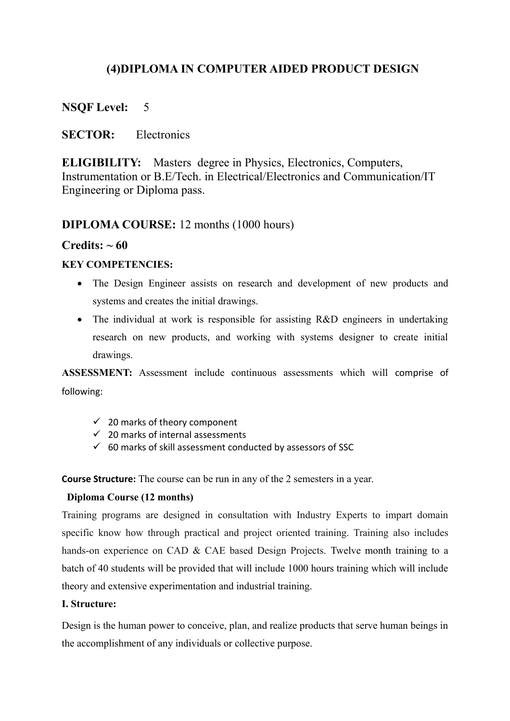# **(4)DIPLOMA IN COMPUTER AIDED PRODUCT DESIGN**

# **NSQF Level:** 5

# **SECTOR:** Electronics

**ELIGIBILITY:** Masters degree in Physics, Electronics, Computers, Instrumentation or B.E/Tech. in Electrical/Electronics and Communication/IT Engineering or Diploma pass.

# **DIPLOMA COURSE:** 12 months (1000 hours)

## **Credits:**  $\sim 60$

## **KEY COMPETENCIES:**

- The Design Engineer assists on research and development of new products and systems and creates the initial drawings.
- The individual at work is responsible for assisting R&D engineers in undertaking research on new products, and working with systems designer to create initial drawings.

**ASSESSMENT:** Assessment include continuous assessments which will comprise of following:

- $\checkmark$  20 marks of theory component
- $\checkmark$  20 marks of internal assessments
- $60$  marks of skill assessment conducted by assessors of SSC

**Course Structure:** The course can be run in any of the 2 semesters in a year.

### **Diploma Course (12 months)**

Training programs are designed in consultation with Industry Experts to impart domain specific know how through practical and project oriented training. Training also includes hands-on experience on CAD & CAE based Design Projects. Twelve month training to a batch of 40 students will be provided that will include 1000 hours training which will include theory and extensive experimentation and industrial training.

### **I. Structure:**

Design is the human power to conceive, plan, and realize products that serve human beings in the accomplishment of any individuals or collective purpose.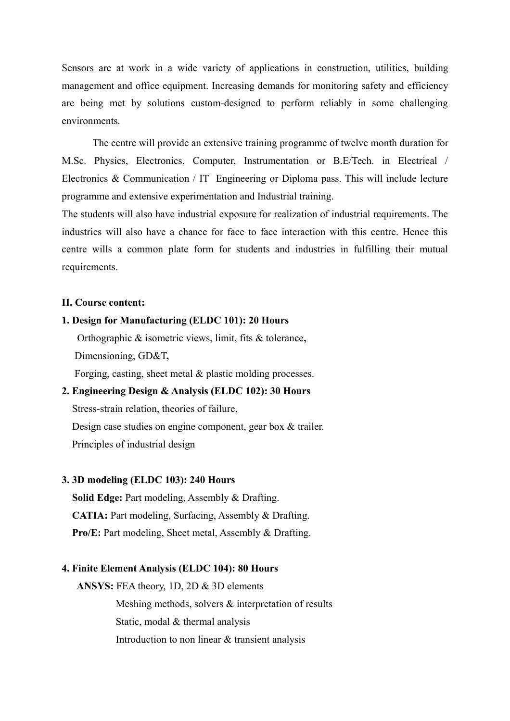Sensors are at work in a wide variety of applications in construction, utilities, building management and office equipment. Increasing demands for monitoring safety and efficiency are being met by solutions custom-designed to perform reliably in some challenging environments.

The centre will provide an extensive training programme of twelve month duration for M.Sc. Physics, Electronics, Computer, Instrumentation or B.E/Tech. in Electrical / Electronics & Communication / IT Engineering or Diploma pass. This will include lecture programme and extensive experimentation and Industrial training.

The students will also have industrial exposure for realization of industrial requirements. The industries will also have a chance for face to face interaction with this centre. Hence this centre wills a common plate form for students and industries in fulfilling their mutual requirements.

#### **II. Course content:**

### **1. Design for Manufacturing (ELDC 101): 20 Hours**

 Orthographic & isometric views, limit, fits & tolerance**,** Dimensioning, GD&T**,** 

Forging, casting, sheet metal & plastic molding processes.

# **2. Engineering Design & Analysis (ELDC 102): 30 Hours**

Stress-strain relation, theories of failure,

Design case studies on engine component, gear box & trailer. Principles of industrial design

#### **3. 3D modeling (ELDC 103): 240 Hours**

 **Solid Edge:** Part modeling, Assembly & Drafting. **CATIA:** Part modeling, Surfacing, Assembly & Drafting. **Pro/E:** Part modeling, Sheet metal, Assembly & Drafting.

### **4. Finite Element Analysis (ELDC 104): 80 Hours**

 **ANSYS:** FEA theory, 1D, 2D & 3D elements

 Meshing methods, solvers & interpretation of results Static, modal & thermal analysis Introduction to non linear & transient analysis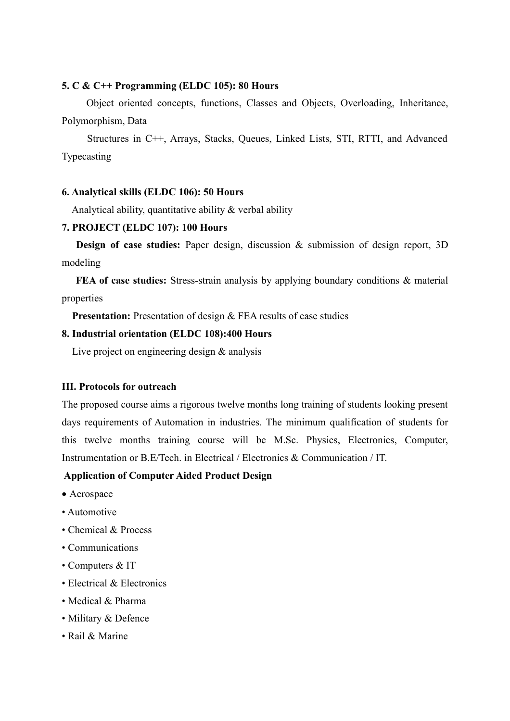#### **5. C & C++ Programming (ELDC 105): 80 Hours**

Object oriented concepts, functions, Classes and Objects, Overloading, Inheritance, Polymorphism, Data

 Structures in C++, Arrays, Stacks, Queues, Linked Lists, STI, RTTI, and Advanced Typecasting

### **6. Analytical skills (ELDC 106): 50 Hours**

Analytical ability, quantitative ability & verbal ability

### **7. PROJECT (ELDC 107): 100 Hours**

**Design of case studies:** Paper design, discussion & submission of design report, 3D modeling

**FEA of case studies:** Stress-strain analysis by applying boundary conditions & material properties

**Presentation:** Presentation of design & FEA results of case studies

### **8. Industrial orientation (ELDC 108):400 Hours**

Live project on engineering design & analysis

### **III. Protocols for outreach**

The proposed course aims a rigorous twelve months long training of students looking present days requirements of Automation in industries. The minimum qualification of students for this twelve months training course will be M.Sc. Physics, Electronics, Computer, Instrumentation or B.E/Tech. in Electrical / Electronics & Communication / IT.

### **Application of Computer Aided Product Design**

- Aerospace
- Automotive
- Chemical & Process
- Communications
- Computers & IT
- Electrical & Electronics
- Medical & Pharma
- Military & Defence
- Rail & Marine